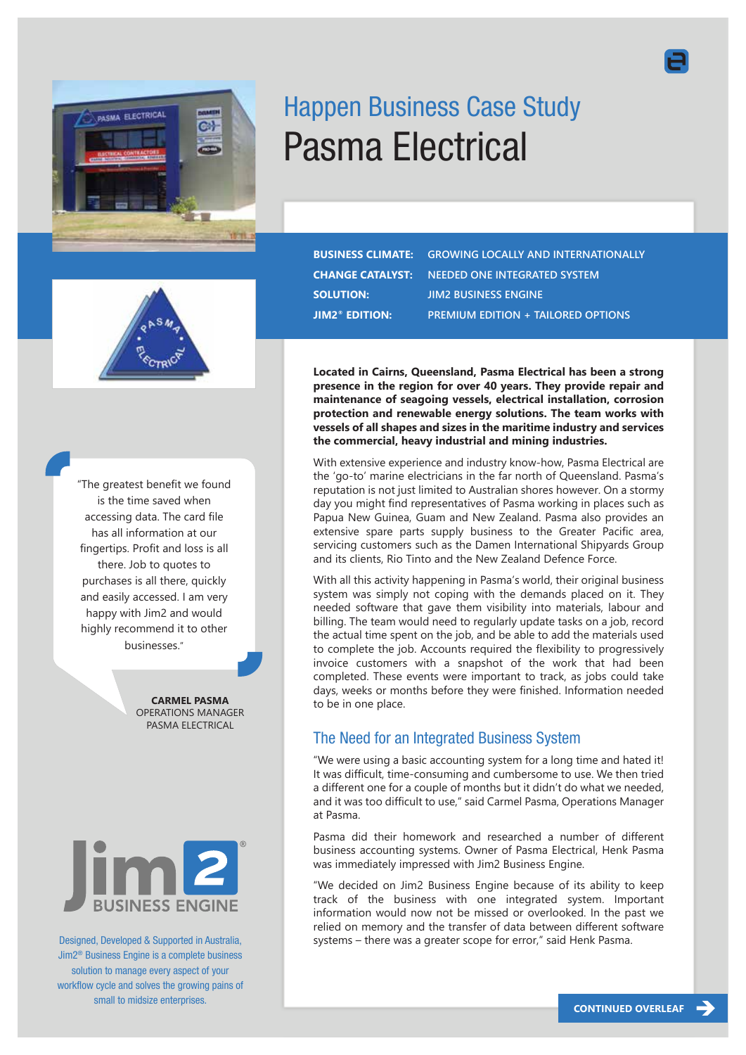

# Happen Business Case Study Pasma Electrical

"The greatest benefit we found is the time saved when accessing data. The card file has all information at our fingertips. Profit and loss is all there. Job to quotes to purchases is all there, quickly and easily accessed. I am very happy with Jim2 and would highly recommend it to other businesses."

> **CARMEL PASMA** OPERATIONS MANAGER PASMA ELECTRICAL



Designed, Developed & Supported in Australia, Jim2® Business Engine is a complete business solution to manage every aspect of your workflow cycle and solves the growing pains of small to midsize enterprises.

**BUSINESS CLIMATE: GROWING LOCALLY AND INTERNATIONALLY CHANGE CATALYST: NEEDED ONE INTEGRATED SYSTEM SOLUTION: JIM2 BUSINESS ENGINE JIM2® EDITION: PREMIUM EDITION + TAILORED OPTIONS**

**Located in Cairns, Queensland, Pasma Electrical has been a strong presence in the region for over 40 years. They provide repair and maintenance of seagoing vessels, electrical installation, corrosion protection and renewable energy solutions. The team works with vessels of all shapes and sizes in the maritime industry and services the commercial, heavy industrial and mining industries.**

With extensive experience and industry know-how, Pasma Electrical are the 'go-to' marine electricians in the far north of Queensland. Pasma's reputation is not just limited to Australian shores however. On a stormy day you might find representatives of Pasma working in places such as Papua New Guinea, Guam and New Zealand. Pasma also provides an extensive spare parts supply business to the Greater Pacific area, servicing customers such as the Damen International Shipyards Group and its clients, Rio Tinto and the New Zealand Defence Force.

With all this activity happening in Pasma's world, their original business system was simply not coping with the demands placed on it. They needed software that gave them visibility into materials, labour and billing. The team would need to regularly update tasks on a job, record the actual time spent on the job, and be able to add the materials used to complete the job. Accounts required the flexibility to progressively invoice customers with a snapshot of the work that had been completed. These events were important to track, as jobs could take days, weeks or months before they were finished. Information needed to be in one place.

## The Need for an Integrated Business System

"We were using a basic accounting system for a long time and hated it! It was difficult, time-consuming and cumbersome to use. We then tried a different one for a couple of months but it didn't do what we needed, and it was too difficult to use," said Carmel Pasma, Operations Manager at Pasma.

Pasma did their homework and researched a number of different business accounting systems. Owner of Pasma Electrical, Henk Pasma was immediately impressed with Jim2 Business Engine.

"We decided on Jim2 Business Engine because of its ability to keep track of the business with one integrated system. Important information would now not be missed or overlooked. In the past we relied on memory and the transfer of data between different software systems – there was a greater scope for error," said Henk Pasma.